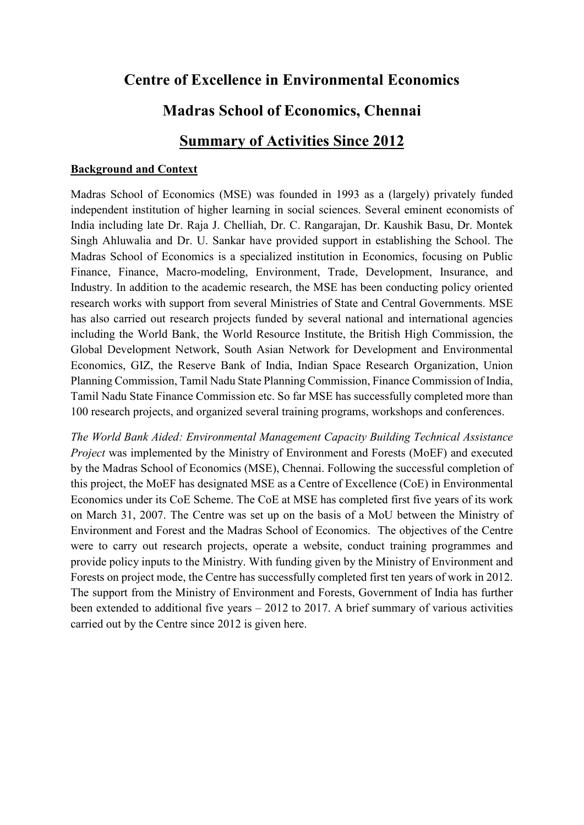# **Centre of Excellence in Environmental Economics**

## **Madras School of Economics, Chennai**

## **Summary of Activities Since 2012**

#### **Background and Context**

Madras School of Economics (MSE) was founded in 1993 as a (largely) privately funded independent institution of higher learning in social sciences. Several eminent economists of India including late Dr. Raja J. Chelliah, Dr. C. Rangarajan, Dr. Kaushik Basu, Dr. Montek Singh Ahluwalia and Dr. U. Sankar have provided support in establishing the School. The Madras School of Economics is a specialized institution in Economics, focusing on Public Finance, Finance, Macro-modeling, Environment, Trade, Development, Insurance, and Industry. In addition to the academic research, the MSE has been conducting policy oriented research works with support from several Ministries of State and Central Governments. MSE has also carried out research projects funded by several national and international agencies including the World Bank, the World Resource Institute, the British High Commission, the Global Development Network, South Asian Network for Development and Environmental Economics, GIZ, the Reserve Bank of India, Indian Space Research Organization, Union Planning Commission, Tamil Nadu State Planning Commission, Finance Commission of India, Tamil Nadu State Finance Commission etc. So far MSE has successfully completed more than 100 research projects, and organized several training programs, workshops and conferences.

*The World Bank Aided: Environmental Management Capacity Building Technical Assistance Project* was implemented by the Ministry of Environment and Forests (MoEF) and executed by the Madras School of Economics (MSE), Chennai. Following the successful completion of this project, the MoEF has designated MSE as a Centre of Excellence (CoE) in Environmental Economics under its CoE Scheme. The CoE at MSE has completed first five years of its work on March 31, 2007. The Centre was set up on the basis of a MoU between the Ministry of Environment and Forest and the Madras School of Economics. The objectives of the Centre were to carry out research projects, operate a website, conduct training programmes and provide policy inputs to the Ministry. With funding given by the Ministry of Environment and Forests on project mode, the Centre has successfully completed first ten years of work in 2012. The support from the Ministry of Environment and Forests, Government of India has further been extended to additional five years – 2012 to 2017. A brief summary of various activities carried out by the Centre since 2012 is given here.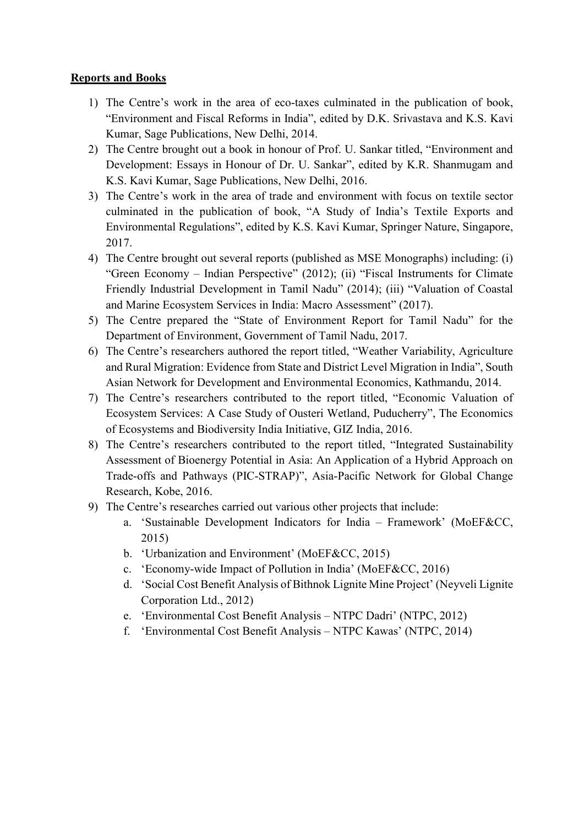### **Reports and Books**

- 1) The Centre's work in the area of eco-taxes culminated in the publication of book, "Environment and Fiscal Reforms in India", edited by D.K. Srivastava and K.S. Kavi Kumar, Sage Publications, New Delhi, 2014.
- 2) The Centre brought out a book in honour of Prof. U. Sankar titled, "Environment and Development: Essays in Honour of Dr. U. Sankar", edited by K.R. Shanmugam and K.S. Kavi Kumar, Sage Publications, New Delhi, 2016.
- 3) The Centre's work in the area of trade and environment with focus on textile sector culminated in the publication of book, "A Study of India's Textile Exports and Environmental Regulations", edited by K.S. Kavi Kumar, Springer Nature, Singapore, 2017.
- 4) The Centre brought out several reports (published as MSE Monographs) including: (i) "Green Economy – Indian Perspective" (2012); (ii) "Fiscal Instruments for Climate Friendly Industrial Development in Tamil Nadu" (2014); (iii) "Valuation of Coastal and Marine Ecosystem Services in India: Macro Assessment" (2017).
- 5) The Centre prepared the "State of Environment Report for Tamil Nadu" for the Department of Environment, Government of Tamil Nadu, 2017.
- 6) The Centre's researchers authored the report titled, "Weather Variability, Agriculture and Rural Migration: Evidence from State and District Level Migration in India", South Asian Network for Development and Environmental Economics, Kathmandu, 2014.
- 7) The Centre's researchers contributed to the report titled, "Economic Valuation of Ecosystem Services: A Case Study of Ousteri Wetland, Puducherry", The Economics of Ecosystems and Biodiversity India Initiative, GIZ India, 2016.
- 8) The Centre's researchers contributed to the report titled, "Integrated Sustainability Assessment of Bioenergy Potential in Asia: An Application of a Hybrid Approach on Trade-offs and Pathways (PIC-STRAP)", Asia-Pacific Network for Global Change Research, Kobe, 2016.
- 9) The Centre's researches carried out various other projects that include:
	- a. 'Sustainable Development Indicators for India Framework' (MoEF&CC, 2015)
	- b. 'Urbanization and Environment' (MoEF&CC, 2015)
	- c. 'Economy-wide Impact of Pollution in India' (MoEF&CC, 2016)
	- d. 'Social Cost Benefit Analysis of Bithnok Lignite Mine Project' (Neyveli Lignite Corporation Ltd., 2012)
	- e. 'Environmental Cost Benefit Analysis NTPC Dadri' (NTPC, 2012)
	- f. 'Environmental Cost Benefit Analysis NTPC Kawas' (NTPC, 2014)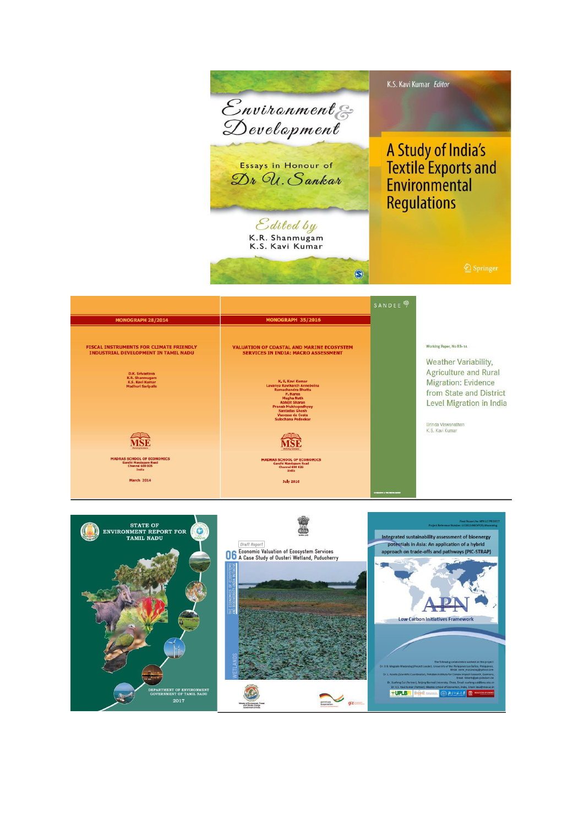

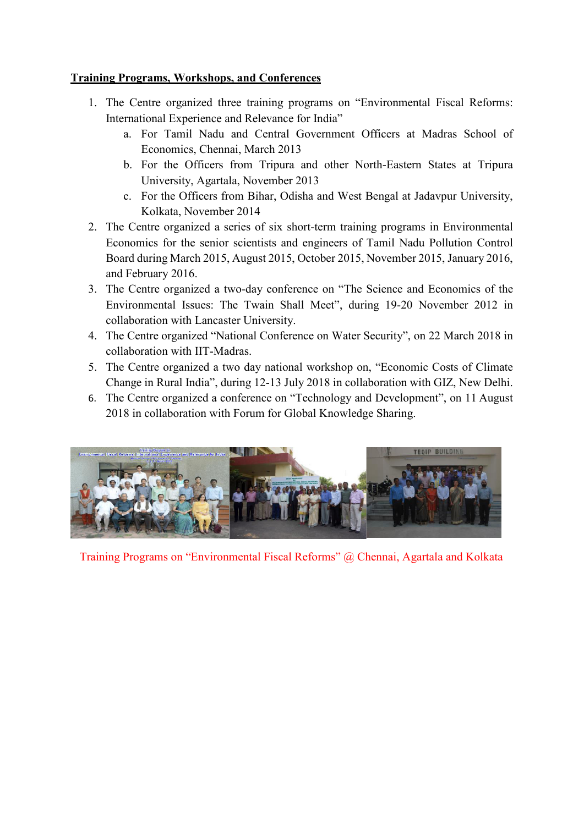### **Training Programs, Workshops, and Conferences**

- 1. The Centre organized three training programs on "Environmental Fiscal Reforms: International Experience and Relevance for India"
	- a. For Tamil Nadu and Central Government Officers at Madras School of Economics, Chennai, March 2013
	- b. For the Officers from Tripura and other North-Eastern States at Tripura University, Agartala, November 2013
	- c. For the Officers from Bihar, Odisha and West Bengal at Jadavpur University, Kolkata, November 2014
- 2. The Centre organized a series of six short-term training programs in Environmental Economics for the senior scientists and engineers of Tamil Nadu Pollution Control Board during March 2015, August 2015, October 2015, November 2015, January 2016, and February 2016.
- 3. The Centre organized a two-day conference on "The Science and Economics of the Environmental Issues: The Twain Shall Meet", during 19-20 November 2012 in collaboration with Lancaster University.
- 4. The Centre organized "National Conference on Water Security", on 22 March 2018 in collaboration with IIT-Madras.
- 5. The Centre organized a two day national workshop on, "Economic Costs of Climate Change in Rural India", during 12-13 July 2018 in collaboration with GIZ, New Delhi.
- 6. The Centre organized a conference on "Technology and Development", on 11 August 2018 in collaboration with Forum for Global Knowledge Sharing.



Training Programs on "Environmental Fiscal Reforms" @ Chennai, Agartala and Kolkata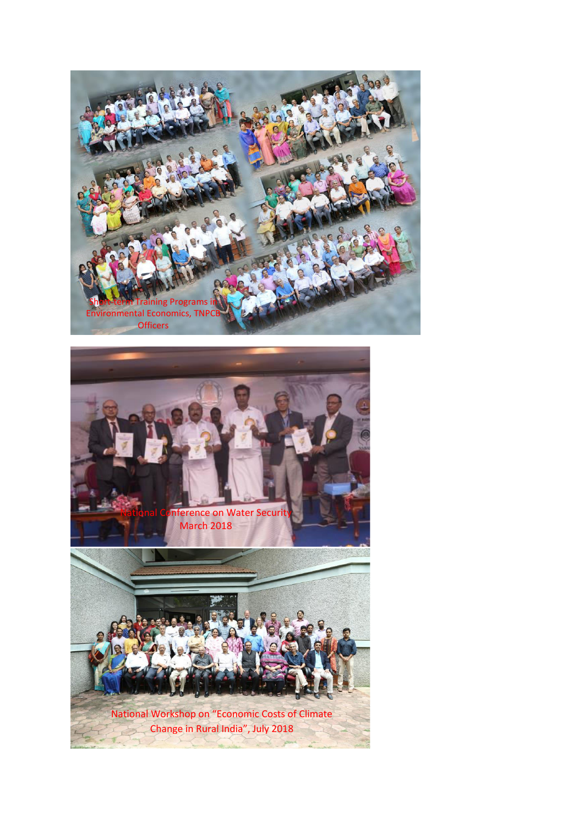

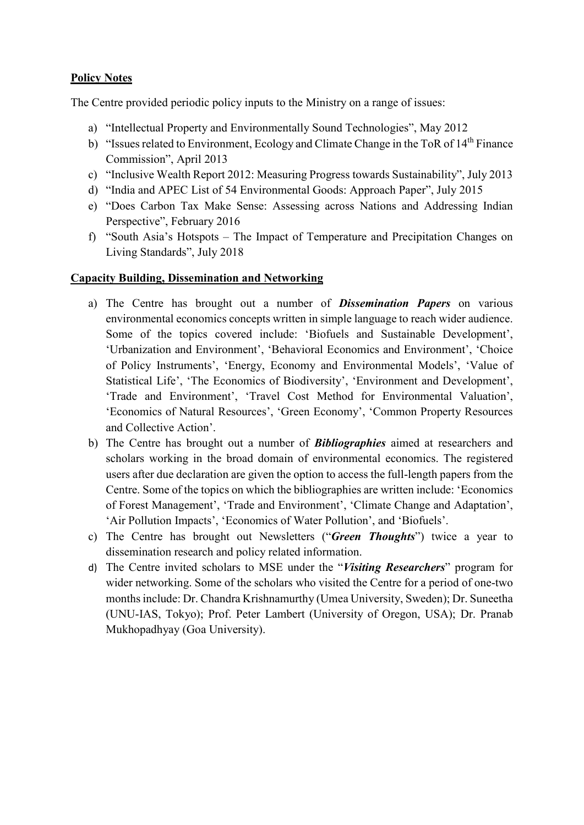### **Policy Notes**

The Centre provided periodic policy inputs to the Ministry on a range of issues:

- a) "Intellectual Property and Environmentally Sound Technologies", May 2012
- b) "Issues related to Environment, Ecology and Climate Change in the ToR of  $14<sup>th</sup>$  Finance Commission", April 2013
- c) "Inclusive Wealth Report 2012: Measuring Progress towards Sustainability", July 2013
- d) "India and APEC List of 54 Environmental Goods: Approach Paper", July 2015
- e) "Does Carbon Tax Make Sense: Assessing across Nations and Addressing Indian Perspective", February 2016
- f) "South Asia's Hotspots The Impact of Temperature and Precipitation Changes on Living Standards", July 2018

#### **Capacity Building, Dissemination and Networking**

- a) The Centre has brought out a number of *Dissemination Papers* on various environmental economics concepts written in simple language to reach wider audience. Some of the topics covered include: 'Biofuels and Sustainable Development', 'Urbanization and Environment', 'Behavioral Economics and Environment', 'Choice of Policy Instruments', 'Energy, Economy and Environmental Models', 'Value of Statistical Life', 'The Economics of Biodiversity', 'Environment and Development', 'Trade and Environment', 'Travel Cost Method for Environmental Valuation', 'Economics of Natural Resources', 'Green Economy', 'Common Property Resources and Collective Action'.
- b) The Centre has brought out a number of *Bibliographies* aimed at researchers and scholars working in the broad domain of environmental economics. The registered users after due declaration are given the option to access the full-length papers from the Centre. Some of the topics on which the bibliographies are written include: 'Economics of Forest Management', 'Trade and Environment', 'Climate Change and Adaptation', 'Air Pollution Impacts', 'Economics of Water Pollution', and 'Biofuels'.
- c) The Centre has brought out Newsletters ("*Green Thoughts*") twice a year to dissemination research and policy related information.
- d) The Centre invited scholars to MSE under the "*Visiting Researchers*" program for wider networking. Some of the scholars who visited the Centre for a period of one-two months include: Dr. Chandra Krishnamurthy (Umea University, Sweden); Dr. Suneetha (UNU-IAS, Tokyo); Prof. Peter Lambert (University of Oregon, USA); Dr. Pranab Mukhopadhyay (Goa University).